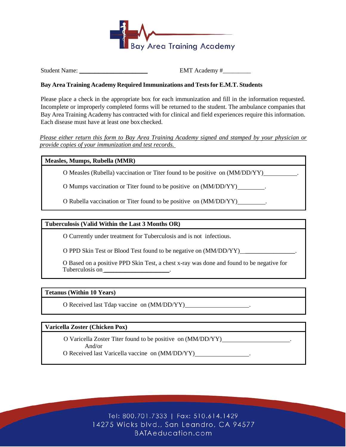

Student Name: \_\_\_\_\_\_\_\_\_\_\_\_\_\_\_\_\_\_\_\_\_\_ EMT Academy #\_\_\_\_\_\_\_\_\_

# **Bay Area Training Academy Required Immunizations and Testsfor E.M.T. Students**

Please place a check in the appropriate box for each immunization and fill in the information requested. Incomplete or improperly completed forms will be returned to the student. The ambulance companies that Bay Area Training Academy has contracted with for clinical and field experiences require this information. Each disease must have at least one box checked.

*Please either return this form to Bay Area Training Academy signed and stamped by your physician or provide copies of your immunization and test records.* 

## **Measles, Mumps, Rubella (MMR)**

Օ Measles (Rubella) vaccination or Titer found to be positive on (MM/DD/YY) .

O Mumps vaccination or Titer found to be positive on  $(MM/DD/YY)$ .

Օ Rubella vaccination or Titer found to be positive on (MM/DD/YY) .

## **Tuberculosis (Valid Within the Last 3 Months OR)**

Օ Currently under treatment for Tuberculosis and is not infectious.

O PPD Skin Test or Blood Test found to be negative on  $(MM/DD/YY)$  \_\_\_\_\_\_\_\_\_\_\_\_\_\_\_.

Օ Based on a positive PPD Skin Test, a chest x-ray was done and found to be negative for Tuberculosis on \_\_\_\_\_\_\_\_\_\_\_\_\_\_\_\_\_\_\_\_\_\_.

## **Tetanus (Within 10 Years)**

Օ Received last Tdap vaccine on (MM/DD/YY) .

## **Varicella Zoster (Chicken Pox)**

Օ Varicella Zoster Titer found to be positive on (MM/DD/YY) . And/or

Օ Received last Varicella vaccine on (MM/DD/YY) .

Tel: 800.701.7333 | Fax: 510.614.1429 14275 Wicks blvd., San Leandro, CA 94577 BATAeducation.com